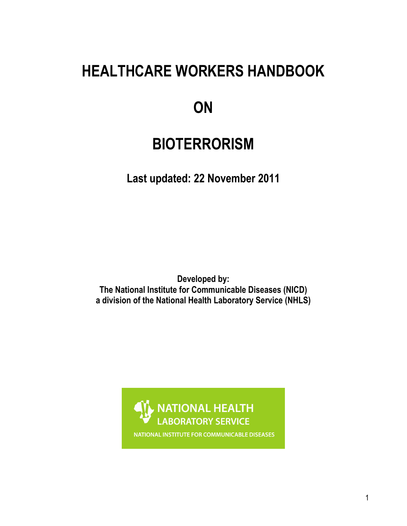# **HEALTHCARE WORKERS HANDBOOK**

# **ON**

# **BIOTERRORISM**

**Last updated: 22 November 2011** 

**Developed by: The National Institute for Communicable Diseases (NICD) a division of the National Health Laboratory Service (NHLS)**



NATIONAL INSTITUTE FOR COMMUNICABLE DISEASES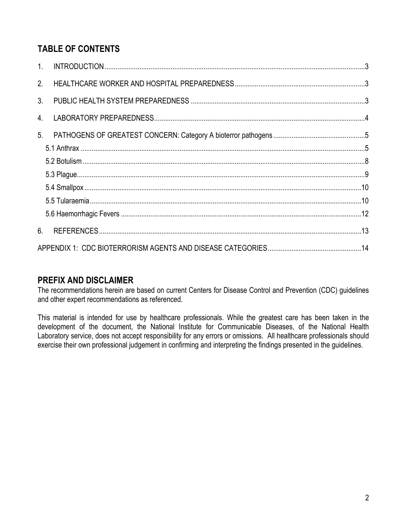# **TABLE OF CONTENTS**

| 1 <sup>1</sup> |  |
|----------------|--|
| 2 <sub>1</sub> |  |
| 3 <sub>l</sub> |  |
| 4.             |  |
| 5 <sub>1</sub> |  |
|                |  |
|                |  |
|                |  |
|                |  |
|                |  |
|                |  |
| 6.             |  |
|                |  |

## **PREFIX AND DISCLAIMER**

The recommendations herein are based on current Centers for Disease Control and Prevention (CDC) guidelines and other expert recommendations as referenced.

This material is intended for use by healthcare professionals. While the greatest care has been taken in the development of the document, the National Institute for Communicable Diseases, of the National Health Laboratory service, does not accept responsibility for any errors or omissions. All healthcare professionals should exercise their own professional judgement in confirming and interpreting the findings presented in the guidelines.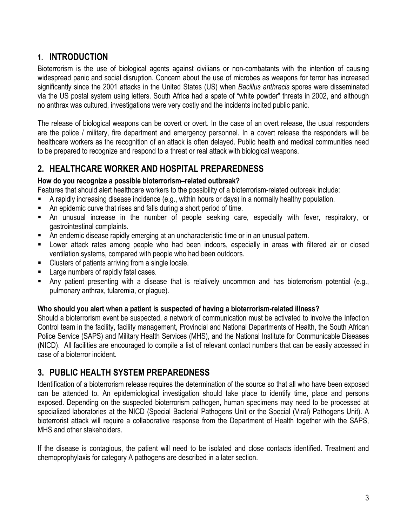## <span id="page-2-0"></span>**1. INTRODUCTION**

Bioterrorism is the use of biological agents against civilians or non-combatants with the intention of causing widespread panic and social disruption. Concern about the use of microbes as weapons for terror has increased significantly since the 2001 attacks in the United States (US) when *Bacillus anthracis* spores were disseminated via the US postal system using letters. South Africa had a spate of "white powder" threats in 2002, and although no anthrax was cultured, investigations were very costly and the incidents incited public panic.

The release of biological weapons can be covert or overt. In the case of an overt release, the usual responders are the police / military, fire department and emergency personnel. In a covert release the responders will be healthcare workers as the recognition of an attack is often delayed. Public health and medical communities need to be prepared to recognize and respond to a threat or real attack with biological weapons.

## <span id="page-2-1"></span>**2. HEALTHCARE WORKER AND HOSPITAL PREPAREDNESS**

### **How do you recognize a possible bioterrorism–related outbreak?**

Features that should alert healthcare workers to the possibility of a bioterrorism-related outbreak include:

- A rapidly increasing disease incidence (e.g., within hours or days) in a normally healthy population.
- An epidemic curve that rises and falls during a short period of time.
- An unusual increase in the number of people seeking care, especially with fever, respiratory, or gastrointestinal complaints.
- An endemic disease rapidly emerging at an uncharacteristic time or in an unusual pattern.
- Lower attack rates among people who had been indoors, especially in areas with filtered air or closed ventilation systems, compared with people who had been outdoors.
- **EXECUTE:** Clusters of patients arriving from a single locale.
- Large numbers of rapidly fatal cases.
- Any patient presenting with a disease that is relatively uncommon and has bioterrorism potential (e.g., pulmonary anthrax, tularemia, or plague).

### **Who should you alert when a patient is suspected of having a bioterrorism-related illness?**

Should a bioterrorism event be suspected, a network of communication must be activated to involve the Infection Control team in the facility, facility management, Provincial and National Departments of Health, the South African Police Service (SAPS) and Military Health Services (MHS), and the National Institute for Communicable Diseases (NICD). All facilities are encouraged to compile a list of relevant contact numbers that can be easily accessed in case of a bioterror incident.

## <span id="page-2-2"></span>**3. PUBLIC HEALTH SYSTEM PREPAREDNESS**

Identification of a bioterrorism release requires the determination of the source so that all who have been exposed can be attended to. An epidemiological investigation should take place to identify time, place and persons exposed. Depending on the suspected bioterrorism pathogen, human specimens may need to be processed at specialized laboratories at the NICD (Special Bacterial Pathogens Unit or the Special (Viral) Pathogens Unit). A bioterrorist attack will require a collaborative response from the Department of Health together with the SAPS, MHS and other stakeholders.

If the disease is contagious, the patient will need to be isolated and close contacts identified. Treatment and chemoprophylaxis for category A pathogens are described in a later section.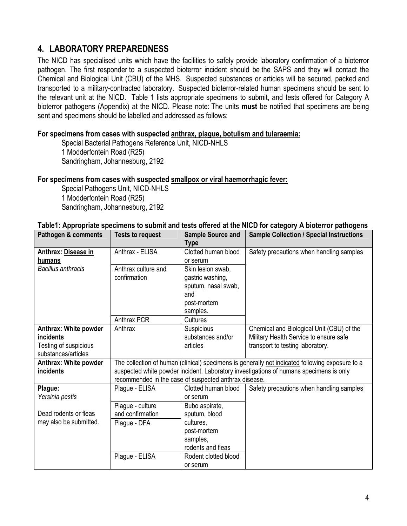## <span id="page-3-0"></span>**4. LABORATORY PREPAREDNESS**

The NICD has specialised units which have the facilities to safely provide laboratory confirmation of a bioterror pathogen. The first responder to a suspected bioterror incident should be the SAPS and they will contact the Chemical and Biological Unit (CBU) of the MHS. Suspected substances or articles will be secured, packed and transported to a military-contracted laboratory. Suspected bioterror-related human specimens should be sent to the relevant unit at the NICD. Table 1 lists appropriate specimens to submit, and tests offered for Category A bioterror pathogens (Appendix) at the NICD. Please note: The units **must** be notified that specimens are being sent and specimens should be labelled and addressed as follows:

#### **For specimens from cases with suspected anthrax, plague, botulism and tularaemia:**

Special Bacterial Pathogens Reference Unit, NICD-NHLS 1 Modderfontein Road (R25) Sandringham, Johannesburg, 2192

#### **For specimens from cases with suspected smallpox or viral haemorrhagic fever:**

Special Pathogens Unit, NICD-NHLS 1 Modderfontein Road (R25) Sandringham, Johannesburg, 2192

#### **Table1: Appropriate specimens to submit and tests offered at the NICD for category A bioterror pathogens**

| Pathogen & comments       | <b>Tests to request</b>                               | <b>Sample Source and</b><br><b>Type</b> | <b>Sample Collection / Special Instructions</b>                                                 |
|---------------------------|-------------------------------------------------------|-----------------------------------------|-------------------------------------------------------------------------------------------------|
| Anthrax: Disease in       | Anthrax - ELISA                                       | Clotted human blood                     | Safety precautions when handling samples                                                        |
| humans                    |                                                       | or serum                                |                                                                                                 |
| <b>Bacillus anthracis</b> | Anthrax culture and                                   | Skin lesion swab,                       |                                                                                                 |
|                           | confirmation                                          | gastric washing,                        |                                                                                                 |
|                           |                                                       | sputum, nasal swab,                     |                                                                                                 |
|                           |                                                       | and                                     |                                                                                                 |
|                           |                                                       | post-mortem                             |                                                                                                 |
|                           |                                                       | samples.                                |                                                                                                 |
|                           | Anthrax PCR                                           | <b>Cultures</b>                         |                                                                                                 |
| Anthrax: White powder     | Anthrax                                               | Suspicious                              | Chemical and Biological Unit (CBU) of the                                                       |
| <i>incidents</i>          |                                                       | substances and/or                       | Military Health Service to ensure safe                                                          |
| Testing of suspicious     |                                                       | articles                                | transport to testing laboratory.                                                                |
| substances/articles       |                                                       |                                         |                                                                                                 |
| Anthrax: White powder     |                                                       |                                         | The collection of human (clinical) specimens is generally not indicated following exposure to a |
| incidents                 |                                                       |                                         | suspected white powder incident. Laboratory investigations of humans specimens is only          |
|                           | recommended in the case of suspected anthrax disease. |                                         |                                                                                                 |
| Plague:                   | Plague - ELISA                                        | Clotted human blood                     | Safety precautions when handling samples                                                        |
| Yersinia pestis           |                                                       | or serum                                |                                                                                                 |
|                           | Plague - culture                                      | Bubo aspirate,                          |                                                                                                 |
| Dead rodents or fleas     | and confirmation                                      | sputum, blood                           |                                                                                                 |
| may also be submitted.    | Plague - DFA                                          | cultures,                               |                                                                                                 |
|                           |                                                       | post-mortem                             |                                                                                                 |
|                           |                                                       | samples,                                |                                                                                                 |
|                           |                                                       | rodents and fleas                       |                                                                                                 |
|                           | Plague - ELISA                                        | Rodent clotted blood                    |                                                                                                 |
|                           |                                                       | or serum                                |                                                                                                 |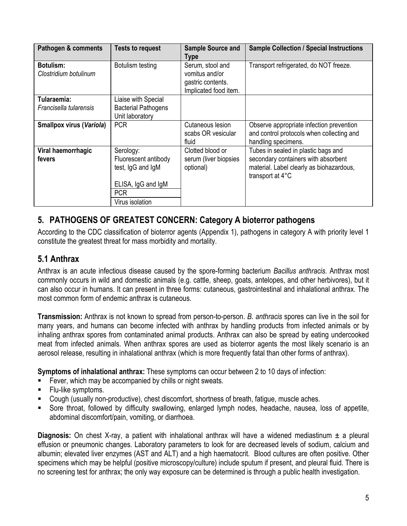| Pathogen & comments                       | <b>Tests to request</b>                                                                                       | <b>Sample Source and</b><br>Type                                                 | <b>Sample Collection / Special Instructions</b>                                                                                            |
|-------------------------------------------|---------------------------------------------------------------------------------------------------------------|----------------------------------------------------------------------------------|--------------------------------------------------------------------------------------------------------------------------------------------|
| <b>Botulism:</b><br>Clostridium botulinum | Botulism testing                                                                                              | Serum, stool and<br>vomitus and/or<br>gastric contents.<br>Implicated food item. | Transport refrigerated, do NOT freeze.                                                                                                     |
| Tularaemia:<br>Francisella tularensis     | Liaise with Special<br><b>Bacterial Pathogens</b><br>Unit laboratory                                          |                                                                                  |                                                                                                                                            |
| <b>Smallpox virus (Variola)</b>           | <b>PCR</b>                                                                                                    | Cutaneous lesion<br>scabs OR vesicular<br>fluid                                  | Observe appropriate infection prevention<br>and control protocols when collecting and<br>handling specimens.                               |
| Viral haemorrhagic<br>fevers              | Serology:<br>Fluorescent antibody<br>test, IgG and IgM<br>ELISA, IgG and IgM<br><b>PCR</b><br>Virus isolation | Clotted blood or<br>serum (liver biopsies<br>optional)                           | Tubes in sealed in plastic bags and<br>secondary containers with absorbent<br>material. Label clearly as biohazardous,<br>transport at 4°C |

# <span id="page-4-0"></span>**5. PATHOGENS OF GREATEST CONCERN: Category A bioterror pathogens**

According to the CDC classification of bioterror agents (Appendix 1), pathogens in category A with priority level 1 constitute the greatest threat for mass morbidity and mortality.

# <span id="page-4-1"></span>**5.1 Anthrax**

Anthrax is an acute infectious disease caused by the spore-forming bacterium *Bacillus anthracis*. Anthrax most commonly occurs in wild and domestic animals (e.g. cattle, sheep, goats, antelopes, and other herbivores), but it can also occur in humans. It can present in three forms: cutaneous, gastrointestinal and inhalational anthrax. The most common form of endemic anthrax is cutaneous.

**Transmission:** Anthrax is not known to spread from person-to-person. *B. anthracis* spores can live in the soil for many years, and humans can become infected with anthrax by handling products from infected animals or by inhaling anthrax spores from contaminated animal products. Anthrax can also be spread by eating undercooked meat from infected animals. When anthrax spores are used as bioterror agents the most likely scenario is an aerosol release, resulting in inhalational anthrax (which is more frequently fatal than other forms of anthrax).

**Symptoms of inhalational anthrax:** These symptoms can occur between 2 to 10 days of infection:

- Fever, which may be accompanied by chills or night sweats.
- **Flu-like symptoms.**
- Cough (usually non-productive), chest discomfort, shortness of breath, fatigue, muscle aches.
- Sore throat, followed by difficulty swallowing, enlarged lymph nodes, headache, nausea, loss of appetite, abdominal discomfort/pain, vomiting, or diarrhoea.

**Diagnosis:** On chest X-ray, a patient with inhalational anthrax will have a widened mediastinum ± a pleural effusion or pneumonic changes. Laboratory parameters to look for are decreased levels of sodium, calcium and albumin; elevated liver enzymes (AST and ALT) and a high haematocrit. Blood cultures are often positive. Other specimens which may be helpful (positive microscopy/culture) include sputum if present, and pleural fluid. There is no screening test for anthrax; the only way exposure can be determined is through a public health investigation.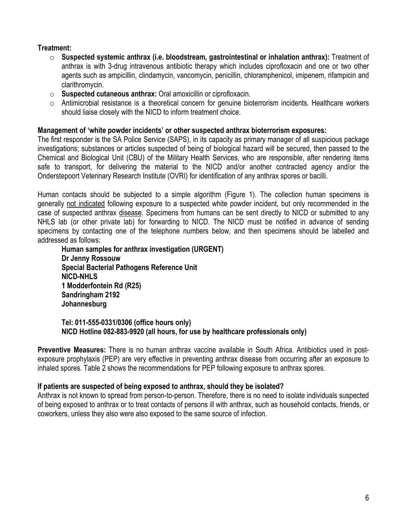### **Treatment:**

- o **Suspected systemic anthrax (i.e. bloodstream, gastrointestinal or inhalation anthrax):** Treatment of anthrax is with 3-drug intravenous antibiotic therapy which includes ciprofloxacin and one or two other agents such as ampicillin, clindamycin, vancomycin, penicillin, chloramphenicol, imipenem, rifampicin and clarithromycin.
- o **Suspected cutaneous anthrax:** Oral amoxicillin or ciprofloxacin.
- $\circ$  Antimicrobial resistance is a theoretical concern for genuine bioterrorism incidents. Healthcare workers should liaise closely with the NICD to inform treatment choice.

#### **Management of 'white powder incidents' or other suspected anthrax bioterrorism exposures:**

The first responder is the SA Police Service (SAPS), in its capacity as primary manager of all suspicious package investigations; substances or articles suspected of being of biological hazard will be secured, then passed to the Chemical and Biological Unit (CBU) of the Military Health Services, who are responsible, after rendering items safe to transport, for delivering the material to the NICD and/or another contracted agency and/or the Onderstepoort Veterinary Research Institute (OVRI) for identification of any anthrax spores or bacilli.

Human contacts should be subjected to a simple algorithm (Figure 1). The collection human specimens is generally not indicated following exposure to a suspected white powder incident, but only recommended in the case of suspected anthrax disease. Specimens from humans can be sent directly to NICD or submitted to any NHLS lab (or other private lab) for forwarding to NICD. The NICD must be notified in advance of sending specimens by contacting one of the telephone numbers below, and then specimens should be labelled and addressed as follows:

**Human samples for anthrax investigation (URGENT) Dr Jenny Rossouw Special Bacterial Pathogens Reference Unit NICD-NHLS 1 Modderfontein Rd (R25) Sandringham 2192 Johannesburg** 

**Tel: 011-555-0331/0306 (office hours only) NICD Hotline 082-883-9920 (all hours, for use by healthcare professionals only)** 

**Preventive Measures:** There is no human anthrax vaccine available in South Africa. Antibiotics used in postexposure prophylaxis (PEP) are very effective in preventing anthrax disease from occurring after an exposure to inhaled spores. Table 2 shows the recommendations for PEP following exposure to anthrax spores.

### **If patients are suspected of being exposed to anthrax, should they be isolated?**

Anthrax is not known to spread from person-to-person. Therefore, there is no need to isolate individuals suspected of being exposed to anthrax or to treat contacts of persons ill with anthrax, such as household contacts, friends, or coworkers, unless they also were also exposed to the same source of infection.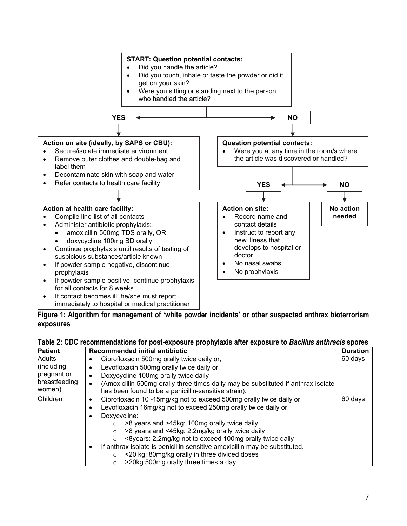

| Figure 1: Algorithm for management of 'white powder incidents' or other suspected anthrax bioterrorism |  |
|--------------------------------------------------------------------------------------------------------|--|
| exposures                                                                                              |  |

### **Table 2: CDC recommendations for post-exposure prophylaxis after exposure to** *Bacillus anthracis* **spores**

| <b>Patient</b> | Recommended initial antibiotic                                                                 | <b>Duration</b> |
|----------------|------------------------------------------------------------------------------------------------|-----------------|
| <b>Adults</b>  | Ciprofloxacin 500mg orally twice daily or,                                                     | 60 days         |
| (including     | Levofloxacin 500mg orally twice daily or,<br>٠                                                 |                 |
| pregnant or    | Doxycycline 100mg orally twice daily<br>$\bullet$                                              |                 |
| breastfeeding  | (Amoxicillin 500mg orally three times daily may be substituted if anthrax isolate<br>$\bullet$ |                 |
| women)         | has been found to be a penicillin-sensitive strain).                                           |                 |
| Children       | Ciprofloxacin 10 -15mg/kg not to exceed 500mg orally twice daily or,<br>$\bullet$              | 60 days         |
|                | Levofloxacin 16mg/kg not to exceed 250mg orally twice daily or,                                |                 |
|                | Doxycycline:                                                                                   |                 |
|                | >8 years and >45kg: 100mg orally twice daily<br>$\circ$                                        |                 |
|                | >8 years and <45kg: 2.2mg/kg orally twice daily<br>$\circ$                                     |                 |
|                | <8years: 2.2mg/kg not to exceed 100mg orally twice daily<br>$\circ$                            |                 |
|                | If anthrax isolate is penicillin-sensitive amoxicillin may be substituted.<br>$\bullet$        |                 |
|                | <20 kg: 80mg/kg orally in three divided doses<br>$\circ$                                       |                 |
|                | >20kg:500mg orally three times a day<br>$\circ$                                                |                 |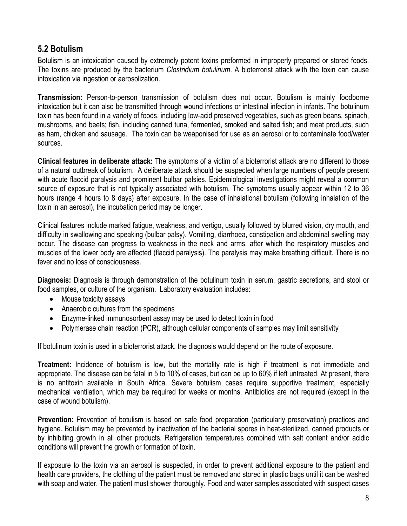## <span id="page-7-0"></span>**5.2 Botulism**

Botulism is an intoxication caused by extremely potent toxins preformed in improperly prepared or stored foods. The toxins are produced by the bacterium *Clostridium botulinum*. A bioterrorist attack with the toxin can cause intoxication via ingestion or aerosolization.

**Transmission:** Person-to-person transmission of botulism does not occur. Botulism is mainly foodborne intoxication but it can also be transmitted through wound infections or intestinal infection in infants. The botulinum toxin has been found in a variety of foods, including low-acid preserved vegetables, such as green beans, spinach, mushrooms, and beets; fish, including canned tuna, fermented, smoked and salted fish; and meat products, such as ham, chicken and sausage. The toxin can be weaponised for use as an aerosol or to contaminate food/water sources.

**Clinical features in deliberate attack:** The symptoms of a victim of a bioterrorist attack are no different to those of a natural outbreak of botulism. A deliberate attack should be suspected when large numbers of people present with acute flaccid paralysis and prominent bulbar palsies. Epidemiological investigations might reveal a common source of exposure that is not typically associated with botulism. The symptoms usually appear within 12 to 36 hours (range 4 hours to 8 days) after exposure. In the case of inhalational botulism (following inhalation of the toxin in an aerosol), the incubation period may be longer.

Clinical features include marked fatigue, weakness, and vertigo, usually followed by blurred vision, dry mouth, and difficulty in swallowing and speaking (bulbar palsy). Vomiting, diarrhoea, constipation and abdominal swelling may occur. The disease can progress to weakness in the neck and arms, after which the respiratory muscles and muscles of the lower body are affected (flaccid paralysis). The paralysis may make breathing difficult. There is no fever and no loss of consciousness.

**Diagnosis:** Diagnosis is through demonstration of the botulinum toxin in serum, gastric secretions, and stool or food samples, or culture of the organism. Laboratory evaluation includes:

- Mouse toxicity assays
- Anaerobic cultures from the specimens
- Enzyme-linked immunosorbent assay may be used to detect toxin in food
- Polymerase chain reaction (PCR), although cellular components of samples may limit sensitivity

If botulinum toxin is used in a bioterrorist attack, the diagnosis would depend on the route of exposure.

**Treatment:** Incidence of botulism is low, but the mortality rate is high if treatment is not immediate and appropriate. The disease can be fatal in 5 to 10% of cases, but can be up to 60% if left untreated. At present, there is no antitoxin available in South Africa. Severe botulism cases require supportive treatment, especially mechanical ventilation, which may be required for weeks or months. Antibiotics are not required (except in the case of wound botulism).

**Prevention:** Prevention of botulism is based on safe food preparation (particularly preservation) practices and hygiene. Botulism may be prevented by inactivation of the bacterial spores in heat-sterilized, canned products or by inhibiting growth in all other products. Refrigeration temperatures combined with salt content and/or acidic conditions will prevent the growth or formation of toxin.

If exposure to the toxin via an aerosol is suspected, in order to prevent additional exposure to the patient and health care providers, the clothing of the patient must be removed and stored in plastic bags until it can be washed with soap and water. The patient must shower thoroughly. Food and water samples associated with suspect cases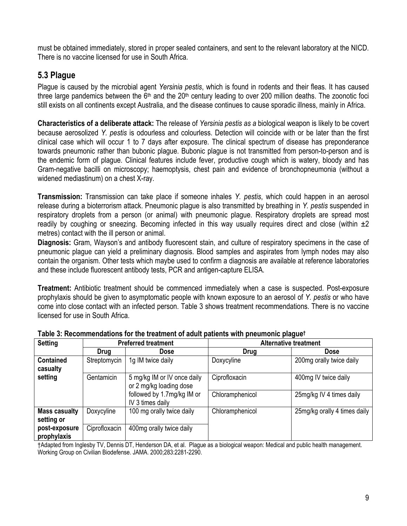must be obtained immediately, stored in proper sealed containers, and sent to the relevant laboratory at the NICD. There is no vaccine licensed for use in South Africa.

## <span id="page-8-0"></span>**5.3 Plague**

Plague is caused by the microbial agent *Yersinia pestis*, which is found in rodents and their fleas*.* It has caused three large pandemics between the 6<sup>th</sup> and the 20<sup>th</sup> century leading to over 200 million deaths. The zoonotic foci still exists on all continents except Australia, and the disease continues to cause sporadic illness, mainly in Africa.

**Characteristics of a deliberate attack:** The release of *Yersinia pestis as a* biological weapon is likely to be covert because aerosolized *Y. pestis* is odourless and colourless. Detection will coincide with or be later than the first clinical case which will occur 1 to 7 days after exposure. The clinical spectrum of disease has preponderance towards pneumonic rather than bubonic plague. Bubonic plague is not transmitted from person-to-person and is the endemic form of plague. Clinical features include fever, productive cough which is watery, bloody and has Gram-negative bacilli on microscopy; haemoptysis, chest pain and evidence of bronchopneumonia (without a widened mediastinum) on a chest X-ray.

**Transmission:** Transmission can take place if someone inhales *Y. pestis*, which could happen in an aerosol release during a bioterrorism attack. Pneumonic plague is also transmitted by breathing in *Y. pestis* suspended in respiratory droplets from a person (or animal) with pneumonic plague. Respiratory droplets are spread most readily by coughing or sneezing. Becoming infected in this way usually requires direct and close (within  $\pm 2$ metres) contact with the ill person or animal.

**Diagnosis:** Gram, Wayson's and antibody fluorescent stain, and culture of respiratory specimens in the case of pneumonic plague can yield a preliminary diagnosis. Blood samples and aspirates from lymph nodes may also contain the organism. Other tests which maybe used to confirm a diagnosis are available at reference laboratories and these include fluorescent antibody tests, PCR and antigen-capture ELISA.

**Treatment:** Antibiotic treatment should be commenced immediately when a case is suspected. Post-exposure prophylaxis should be given to asymptomatic people with known exposure to an aerosol of *Y. pestis* or who have come into close contact with an infected person. Table 3 shows treatment recommendations. There is no vaccine licensed for use in South Africa.

| <b>Setting</b>                     |                   | <b>Preferred treatment</b>                             | <b>Alternative treatment</b> |                              |
|------------------------------------|-------------------|--------------------------------------------------------|------------------------------|------------------------------|
|                                    | <b>Drug</b>       | Dose                                                   | <b>Drug</b>                  | <b>Dose</b>                  |
| <b>Contained</b><br>casualty       | Streptomycin      | 1g IM twice daily                                      | Doxycyline                   | 200mg orally twice daily     |
| setting                            | <b>Gentamicin</b> | 5 mg/kg IM or IV once daily<br>or 2 mg/kg loading dose | Ciprofloxacin                | 400mg IV twice daily         |
|                                    |                   | followed by 1.7mg/kg IM or<br>IV 3 times daily         | Chloramphenicol              | 25mg/kg IV 4 times daily     |
| <b>Mass casualty</b><br>setting or | Doxycyline        | 100 mg orally twice daily                              | Chloramphenicol              | 25mg/kg orally 4 times daily |
| post-exposure<br>prophylaxis       | Ciprofloxacin     | 400mg orally twice daily                               |                              |                              |

**Table 3: Recommendations for the treatment of adult patients with pneumonic plague†** 

†Adapted from Inglesby TV, Dennis DT, Henderson DA, et al. Plague as a biological weapon: Medical and public health management. Working Group on Civilian Biodefense. JAMA. 2000;283:2281-2290.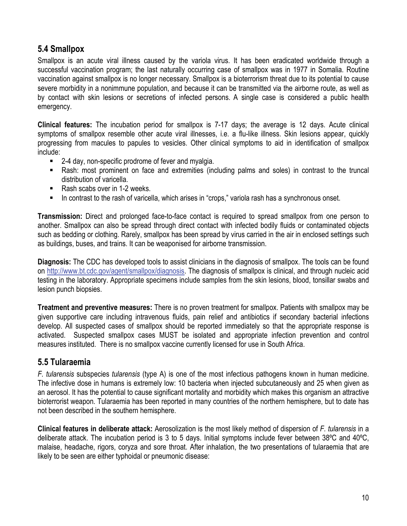# <span id="page-9-0"></span>**5.4 Smallpox**

Smallpox is an acute viral illness caused by the variola virus. It has been eradicated worldwide through a successful vaccination program; the last naturally occurring case of smallpox was in 1977 in Somalia. Routine vaccination against smallpox is no longer necessary. Smallpox is a bioterrorism threat due to its potential to cause severe morbidity in a nonimmune population, and because it can be transmitted via the airborne route, as well as by contact with skin lesions or secretions of infected persons. A single case is considered a public health emergency.

**Clinical features:** The incubation period for smallpox is 7-17 days; the average is 12 days. Acute clinical symptoms of smallpox resemble other acute viral illnesses, i.e. a flu-like illness. Skin lesions appear, quickly progressing from macules to papules to vesicles. Other clinical symptoms to aid in identification of smallpox include:

- 2-4 day, non-specific prodrome of fever and myalgia.
- Rash: most prominent on face and extremities (including palms and soles) in contrast to the truncal distribution of varicella.
- Rash scabs over in 1-2 weeks.
- In contrast to the rash of varicella, which arises in "crops," variola rash has a synchronous onset.

**Transmission:** Direct and prolonged face-to-face contact is required to spread smallpox from one person to another. Smallpox can also be spread through direct contact with infected bodily fluids or contaminated objects such as bedding or clothing. Rarely, smallpox has been spread by virus carried in the air in enclosed settings such as buildings, buses, and trains. It can be weaponised for airborne transmission.

**Diagnosis:** The CDC has developed tools to assist clinicians in the diagnosis of smallpox. The tools can be found on <http://www.bt.cdc.gov/agent/smallpox/diagnosis>. The diagnosis of smallpox is clinical, and through nucleic acid testing in the laboratory. Appropriate specimens include samples from the skin lesions, blood, tonsillar swabs and lesion punch biopsies.

**Treatment and preventive measures:** There is no proven treatment for smallpox. Patients with smallpox may be given supportive care including intravenous fluids, pain relief and antibiotics if secondary bacterial infections develop. All suspected cases of smallpox should be reported immediately so that the appropriate response is activated. Suspected smallpox cases MUST be isolated and appropriate infection prevention and control measures instituted. There is no smallpox vaccine currently licensed for use in South Africa.

## <span id="page-9-1"></span>**5.5 Tularaemia**

*F. tularensis* subspecies *tularensis* (type A) is one of the most infectious pathogens known in human medicine. The infective dose in humans is extremely low: 10 bacteria when injected subcutaneously and 25 when given as an aerosol. It has the potential to cause significant mortality and morbidity which makes this organism an attractive bioterrorist weapon. Tularaemia has been reported in many countries of the northern hemisphere, but to date has not been described in the southern hemisphere.

**Clinical features in deliberate attack:** Aerosolization is the most likely method of dispersion of *F. tularensis* in a deliberate attack. The incubation period is 3 to 5 days. Initial symptoms include fever between 38ºC and 40ºC, malaise, headache, rigors, coryza and sore throat. After inhalation, the two presentations of tularaemia that are likely to be seen are either typhoidal or pneumonic disease: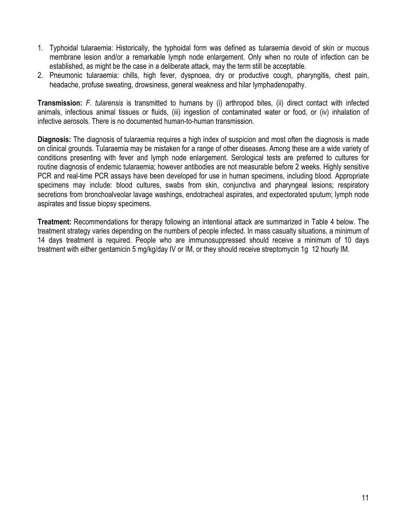- 1. Typhoidal tularaemia: Historically, the typhoidal form was defined as tularaemia devoid of skin or mucous membrane lesion and/or a remarkable lymph node enlargement. Only when no route of infection can be established, as might be the case in a deliberate attack, may the term still be acceptable.
- 2. Pneumonic tularaemia: chills, high fever, dyspnoea, dry or productive cough, pharyngitis, chest pain, headache, profuse sweating, drowsiness, general weakness and hilar lymphadenopathy.

**Transmission:** *F. tularensis* is transmitted to humans by (i) arthropod bites, (ii) direct contact with infected animals, infectious animal tissues or fluids, (iii) ingestion of contaminated water or food, or (iv) inhalation of infective aerosols. There is no documented human-to-human transmission.

**Diagnosis:** The diagnosis of tularaemia requires a high index of suspicion and most often the diagnosis is made on clinical grounds. Tularaemia may be mistaken for a range of other diseases. Among these are a wide variety of conditions presenting with fever and lymph node enlargement. Serological tests are preferred to cultures for routine diagnosis of endemic tularaemia; however antibodies are not measurable before 2 weeks. Highly sensitive PCR and real-time PCR assays have been developed for use in human specimens, including blood. Appropriate specimens may include: blood cultures, swabs from skin, conjunctiva and pharyngeal lesions; respiratory secretions from bronchoalveolar lavage washings, endotracheal aspirates, and expectorated sputum; lymph node aspirates and tissue biopsy specimens.

**Treatment:** Recommendations for therapy following an intentional attack are summarized in Table 4 below. The treatment strategy varies depending on the numbers of people infected. In mass casualty situations, a minimum of 14 days treatment is required. People who are immunosuppressed should receive a minimum of 10 days treatment with either gentamicin 5 mg/kg/day IV or IM, or they should receive streptomycin 1g 12 hourly IM.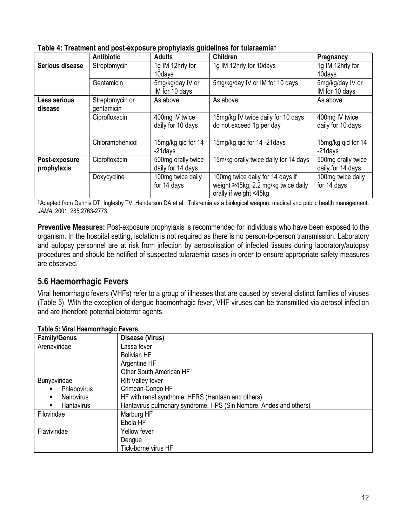|                              | <b>Antibiotic</b>             | r. - r. 9<br><b>Adults</b>              | <b>Children</b>                                                                                   | Pregnancy                               |
|------------------------------|-------------------------------|-----------------------------------------|---------------------------------------------------------------------------------------------------|-----------------------------------------|
| Serious disease              | Streptomycin                  | 1g IM 12hrly for<br>10days              | 1g IM 12hrly for 10days                                                                           | 1g IM 12hrly for<br>10days              |
|                              | Gentamicin                    | 5mg/kg/day IV or<br>IM for 10 days      | 5mg/kg/day IV or IM for 10 days                                                                   | 5mg/kg/day IV or<br>IM for 10 days      |
| Less serious<br>disease      | Streptomycin or<br>gentamicin | As above                                | As above                                                                                          | As above                                |
|                              | Ciprofloxacin                 | 400mg IV twice<br>daily for 10 days     | 15mg/kg IV twice daily for 10 days<br>do not exceed 1g per day                                    | 400mg IV twice<br>daily for 10 days     |
|                              | Chloramphenicol               | 15mg/kg qid for 14<br>-21days           | 15mg/kg gid for 14 -21 days                                                                       | 15mg/kg qid for 14<br>-21days           |
| Post-exposure<br>prophylaxis | Ciprofloxacin                 | 500mg orally twice<br>daily for 14 days | 15m/kg orally twice daily for 14 days                                                             | 500mg orally twice<br>daily for 14 days |
|                              | Doxycycline                   | 100mg twice daily<br>for 14 days        | 100mg twice daily for 14 days if<br>weight ≥45kg; 2.2 mg/kg twice daily<br>orally if weight <45kg | 100mg twice daily<br>for 14 days        |

|  | Table 4: Treatment and post-exposure prophylaxis guidelines for tularaemia† |  |  |  |  |
|--|-----------------------------------------------------------------------------|--|--|--|--|
|--|-----------------------------------------------------------------------------|--|--|--|--|

**†**Adapted from Dennis DT, Inglesby TV, Henderson DA et al. Tularemia as a biological weapon: medical and public health management. *JAMA*, 2001; 285:2763-2773.

**Preventive Measures:** Post-exposure prophylaxis is recommended for individuals who have been exposed to the organism. In the hospital setting, isolation is not required as there is no person-to-person transmission. Laboratory and autopsy personnel are at risk from infection by aerosolisation of infected tissues during laboratory/autopsy procedures and should be notified of suspected tularaemia cases in order to ensure appropriate safety measures are observed.

## <span id="page-11-0"></span>**5.6 Haemorrhagic Fevers**

Viral hemorrhagic fevers (VHFs) refer to a group of illnesses that are caused by several distinct families of viruses (Table 5). With the exception of dengue haemorrhagic fever, VHF viruses can be transmitted via aerosol infection and are therefore potential bioterror agents.

| <u>I ANIC J. VII AL HACINUM HAYIU L CYCLS</u> |                                                                   |
|-----------------------------------------------|-------------------------------------------------------------------|
| <b>Family/Genus</b>                           | Disease (Virus)                                                   |
| Arenaviridae                                  | Lassa fever                                                       |
|                                               | <b>Bolivian HF</b>                                                |
|                                               | Argentine HF                                                      |
|                                               | Other South American HF                                           |
| Bunyaviridae                                  | <b>Rift Valley fever</b>                                          |
| Phlebovirus<br>٠                              | Crimean-Congo HF                                                  |
| <b>Nairovirus</b><br>$\blacksquare$           | HF with renal syndrome, HFRS (Hantaan and others)                 |
| Hantavirus<br>п                               | Hantavirus pulmonary syndrome, HPS (Sin Nombre, Andes and others) |
| Filoviridae                                   | Marburg HF                                                        |
|                                               | Ebola HF                                                          |
| Flaviviridae                                  | Yellow fever                                                      |
|                                               | Dengue                                                            |
|                                               | Tick-borne virus HF                                               |

# **Table 5: Viral Haemorrhagic Fevers**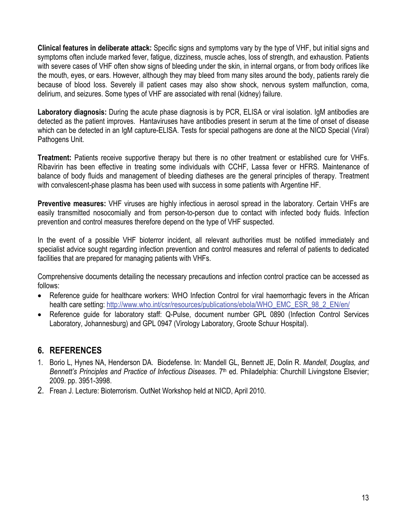**Clinical features in deliberate attack:** Specific signs and symptoms vary by the type of VHF, but initial signs and symptoms often include marked fever, fatigue, dizziness, muscle aches, loss of strength, and exhaustion. Patients with severe cases of VHF often show signs of bleeding under the skin, in internal organs, or from body orifices like the mouth, eyes, or ears. However, although they may bleed from many sites around the body, patients rarely die because of blood loss. Severely ill patient cases may also show shock, nervous system malfunction, coma, delirium, and seizures. Some types of VHF are associated with renal (kidney) failure.

**Laboratory diagnosis:** During the acute phase diagnosis is by PCR, ELISA or viral isolation. IgM antibodies are detected as the patient improves. Hantaviruses have antibodies present in serum at the time of onset of disease which can be detected in an IgM capture-ELISA. Tests for special pathogens are done at the NICD Special (Viral) Pathogens Unit.

**Treatment:** Patients receive supportive therapy but there is no other treatment or established cure for VHFs. Ribavirin has been effective in treating some individuals with CCHF, Lassa fever or HFRS. Maintenance of balance of body fluids and management of bleeding diatheses are the general principles of therapy. Treatment with convalescent-phase plasma has been used with success in some patients with Argentine HF.

**Preventive measures:** VHF viruses are highly infectious in aerosol spread in the laboratory. Certain VHFs are easily transmitted nosocomially and from person-to-person due to contact with infected body fluids. Infection prevention and control measures therefore depend on the type of VHF suspected.

In the event of a possible VHF bioterror incident, all relevant authorities must be notified immediately and specialist advice sought regarding infection prevention and control measures and referral of patients to dedicated facilities that are prepared for managing patients with VHFs.

Comprehensive documents detailing the necessary precautions and infection control practice can be accessed as follows:

- Reference guide for healthcare workers: WHO Infection Control for viral haemorrhagic fevers in the African health care setting: [http://www.who.int/csr/resources/publications/ebola/WHO\\_EMC\\_ESR\\_98\\_2\\_EN/en/](http://www.who.int/csr/resources/publications/ebola/WHO_EMC_ESR_98_2_EN/en/)
- Reference guide for laboratory staff: Q-Pulse, document number GPL 0890 (Infection Control Services Laboratory, Johannesburg) and GPL 0947 (Virology Laboratory, Groote Schuur Hospital).

## <span id="page-12-0"></span>**6. REFERENCES**

- 1. Borio L, Hynes NA, Henderson DA. Biodefense. In: Mandell GL, Bennett JE, Dolin R. *Mandell, Douglas, and Bennett's Principles and Practice of Infectious Diseases*. 7th ed. Philadelphia: Churchill Livingstone Elsevier; 2009. pp. 3951-3998.
- 2. Frean J. Lecture: Bioterrorism. OutNet Workshop held at NICD, April 2010.